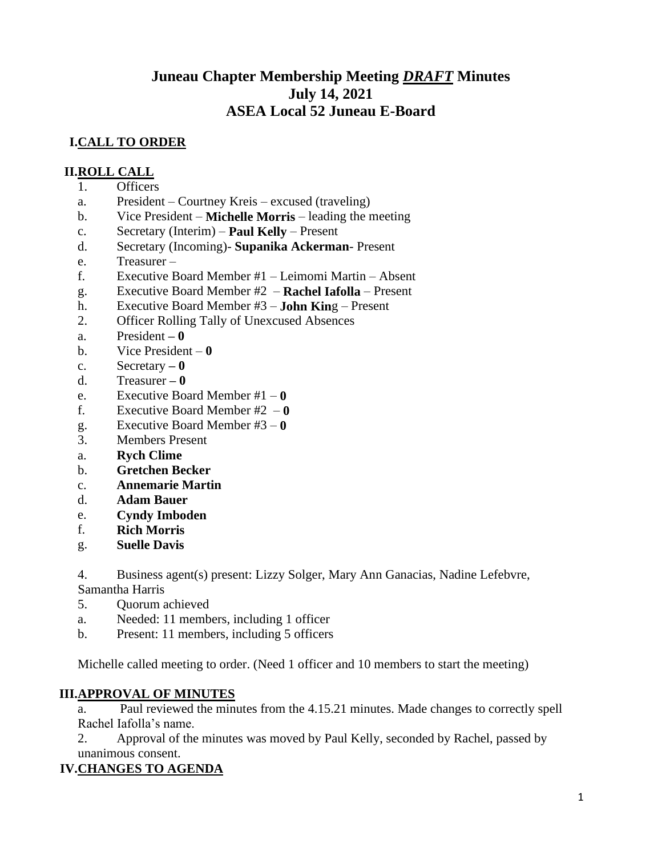# **Juneau Chapter Membership Meeting** *DRAFT* **Minutes July 14, 2021 ASEA Local 52 Juneau E-Board**

# **I.CALL TO ORDER**

#### **II.ROLL CALL**

- 1. Officers
- a. President Courtney Kreis excused (traveling)
- b. Vice President **Michelle Morris** leading the meeting
- c. Secretary (Interim) **Paul Kelly** Present
- d. Secretary (Incoming)- **Supanika Ackerman** Present
- e. Treasurer –
- f. Executive Board Member #1 Leimomi Martin Absent
- g. Executive Board Member #2 **Rachel Iafolla** Present
- h. Executive Board Member #3 **John Kin**g Present
- 2. Officer Rolling Tally of Unexcused Absences
- a. President **– 0**
- b. Vice President **0**
- c. Secretary **– 0**
- d. Treasurer **– 0**
- e. Executive Board Member #1 **0**
- f. Executive Board Member #2 **0**
- g. Executive Board Member #3 **0**
- 3. Members Present
- a. **Rych Clime**
- b. **Gretchen Becker**
- c. **Annemarie Martin**
- d. **Adam Bauer**
- e. **Cyndy Imboden**
- f. **Rich Morris**
- g. **Suelle Davis**

4. Business agent(s) present: Lizzy Solger, Mary Ann Ganacias, Nadine Lefebvre, Samantha Harris

- 5. Quorum achieved
- a. Needed: 11 members, including 1 officer
- b. Present: 11 members, including 5 officers

Michelle called meeting to order. (Need 1 officer and 10 members to start the meeting)

#### **III.APPROVAL OF MINUTES**

a. Paul reviewed the minutes from the 4.15.21 minutes. Made changes to correctly spell Rachel Iafolla's name.

2. Approval of the minutes was moved by Paul Kelly, seconded by Rachel, passed by unanimous consent.

### **IV.CHANGES TO AGENDA**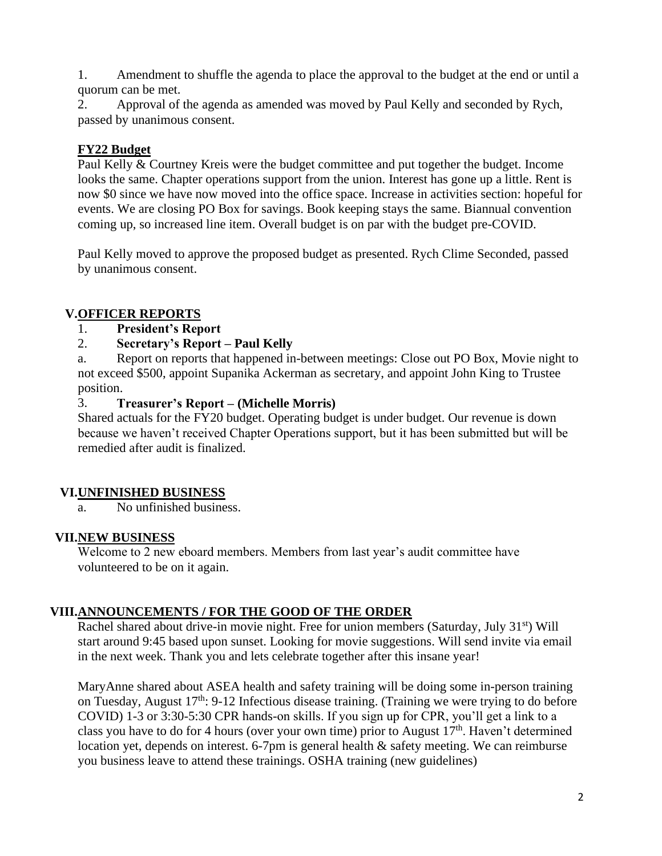1. Amendment to shuffle the agenda to place the approval to the budget at the end or until a quorum can be met.

2. Approval of the agenda as amended was moved by Paul Kelly and seconded by Rych, passed by unanimous consent.

## **FY22 Budget**

Paul Kelly & Courtney Kreis were the budget committee and put together the budget. Income looks the same. Chapter operations support from the union. Interest has gone up a little. Rent is now \$0 since we have now moved into the office space. Increase in activities section: hopeful for events. We are closing PO Box for savings. Book keeping stays the same. Biannual convention coming up, so increased line item. Overall budget is on par with the budget pre-COVID.

Paul Kelly moved to approve the proposed budget as presented. Rych Clime Seconded, passed by unanimous consent.

# **V.OFFICER REPORTS**

1. **President's Report**

# 2. **Secretary's Report – Paul Kelly**

a. Report on reports that happened in-between meetings: Close out PO Box, Movie night to not exceed \$500, appoint Supanika Ackerman as secretary, and appoint John King to Trustee position.

### 3. **Treasurer's Report – (Michelle Morris)**

Shared actuals for the FY20 budget. Operating budget is under budget. Our revenue is down because we haven't received Chapter Operations support, but it has been submitted but will be remedied after audit is finalized.

### **VI.UNFINISHED BUSINESS**

a. No unfinished business.

# **VII.NEW BUSINESS**

Welcome to 2 new eboard members. Members from last year's audit committee have volunteered to be on it again.

# **VIII.ANNOUNCEMENTS / FOR THE GOOD OF THE ORDER**

Rachel shared about drive-in movie night. Free for union members (Saturday, July 31<sup>st</sup>) Will start around 9:45 based upon sunset. Looking for movie suggestions. Will send invite via email in the next week. Thank you and lets celebrate together after this insane year!

MaryAnne shared about ASEA health and safety training will be doing some in-person training on Tuesday, August  $17<sup>th</sup>$ : 9-12 Infectious disease training. (Training we were trying to do before COVID) 1-3 or 3:30-5:30 CPR hands-on skills. If you sign up for CPR, you'll get a link to a class you have to do for 4 hours (over your own time) prior to August  $17<sup>th</sup>$ . Haven't determined location yet, depends on interest. 6-7pm is general health  $\&$  safety meeting. We can reimburse you business leave to attend these trainings. OSHA training (new guidelines)